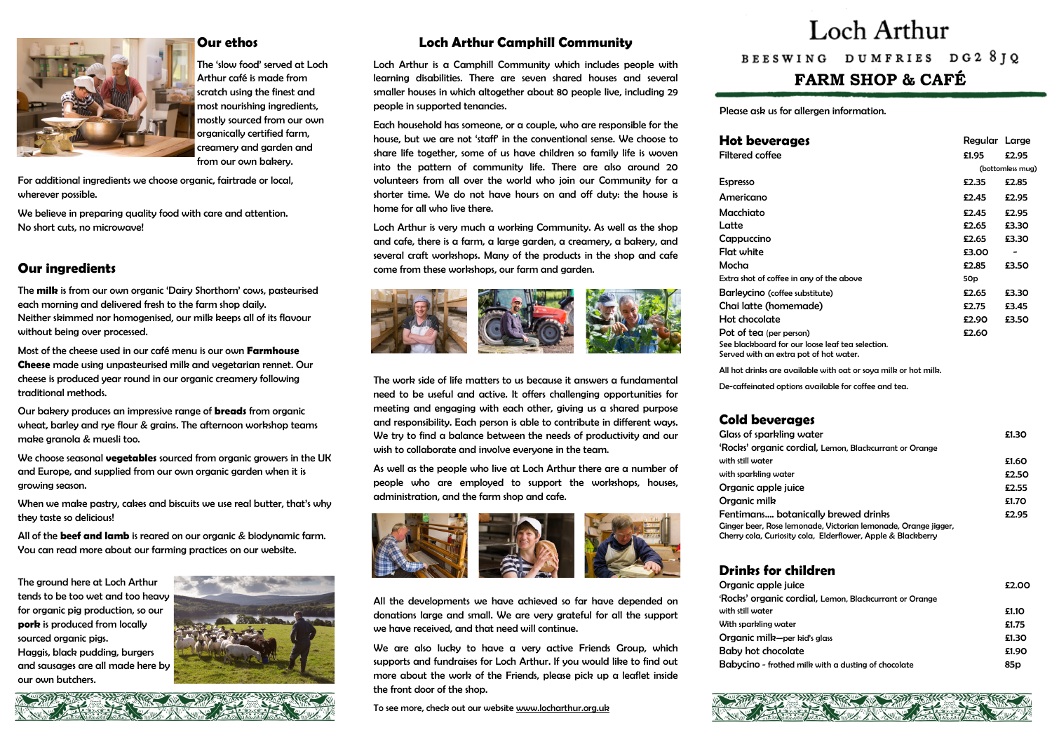Please ask us for allergen information.

# **Loch Arthur Camphill Community**

Loch Arthur is a Camphill Community which includes people with learning disabilities. There are seven shared houses and several smaller houses in which altogether about 80 people live, including 29 people in supported tenancies.

Each household has someone, or a couple, who are responsible for the house, but we are not 'staff' in the conventional sense. We choose to share life together, some of us have children so family life is woven into the pattern of community life. There are also around 20 volunteers from all over the world who join our Community for a shorter time. We do not have hours on and off duty: the house is home for all who live there.

Loch Arthur is very much a working Community. As well as the shop and cafe, there is a farm, a large garden, a creamery, a bakery, and several craft workshops. Many of the products in the shop and cafe come from these workshops, our farm and garden.





All the developments we have achieved so far have depended on donations large and small. We are very grateful for all the support we have received, and that need will continue.

The work side of life matters to us because it answers a fundamental need to be useful and active. It offers challenging opportunities for meeting and engaging with each other, giving us a shared purpose and responsibility. Each person is able to contribute in different ways. We try to find a balance between the needs of productivity and our wish to collaborate and involve everyone in the team.

As well as the people who live at Loch Arthur there are a number of people who are employed to support the workshops, houses, administration, and the farm shop and cafe.



We are also lucky to have a very active Friends Group, which supports and fundraises for Loch Arthur. If you would like to find out more about the work of the Friends, please pick up a leaflet inside the front door of the shop.

To see more, check out our website [www.locharthur.org.uk](http://www.locharthur.org.uk)



#### **Hot beverage**

All hot drinks are available

# **Drinks for ch**



# Loch Arthur

# BEESWING DUMFRIES DG2 81Q **FARM SHOP & CAFÉ**



### **Our ethos**

The 'slow food' served at Loch Arthur café is made from scratch using the finest and most nourishing ingredients, mostly sourced from our own organically certified farm, creamery and garden and from our own bakery.

For additional ingredients we choose organic, fairtrade or local, wherever possible.

We believe in preparing quality food with care and attention. No short cuts, no microwave!

# **Our ingredients**

The **milk** is from our own organic 'Dairy Shorthorn' cows, pasteurised each morning and delivered fresh to the farm shop daily. Neither skimmed nor homogenised, our milk keeps all of its flavour without being over processed.

Most of the cheese used in our café menu is our own **Farmhouse Cheese** made using unpasteurised milk and vegetarian rennet. Our cheese is produced year round in our organic creamery following traditional methods.

Our bakery produces an impressive range of **breads** from organic wheat, barley and rye flour & grains. The afternoon workshop teams make granola & muesli too.

We choose seasonal **vegetables** sourced from organic growers in the UK and Europe, and supplied from our own organic garden when it is growing season.

When we make pastry, cakes and biscuits we use real butter, that's why they taste so delicious!

All of the **beef and lamb** is reared on our organic & biodynamic farm. You can read more about our farming practices on our website.

The ground here at Loch Arthur tends to be too wet and too heavy for organic pig production, so our **pork** is produced from locally sourced organic pigs. Haggis, black pudding, burgers and sausages are all made here by our own butchers.



#### 光光色的彩 TO BILLY

| <b>Hot beverages</b>                                                                                                           | Regular Large   |                              |
|--------------------------------------------------------------------------------------------------------------------------------|-----------------|------------------------------|
| <b>Filtered coffee</b>                                                                                                         | £1.95           | £2.95                        |
|                                                                                                                                |                 | (bottomless mug)             |
| <b>Espresso</b>                                                                                                                | £2.35           | £2.85                        |
| Americano                                                                                                                      | £2.45           | £2.95                        |
| Macchiato                                                                                                                      | £2.45           | £2.95                        |
| Latte                                                                                                                          | £2.65           | £3.30                        |
| Cappuccino                                                                                                                     | £2.65           | £3.30                        |
| <b>Flat white</b>                                                                                                              | £3.00           | $\qquad \qquad \blacksquare$ |
| Mocha                                                                                                                          | £2.85           | £3.50                        |
| Extra shot of coffee in any of the above                                                                                       | 50 <sub>p</sub> |                              |
| Barleycino (coffee substitute)                                                                                                 | £2.65           | £3.30                        |
| Chai latte (homemade)                                                                                                          | £2.75           | £3.45                        |
| Hot chocolate                                                                                                                  | £2.90           | £3.50                        |
| Pot of tea (per person)                                                                                                        | £2.60           |                              |
| See blackboard for our loose leaf tea selection.<br>Served with an extra pot of hot water.                                     |                 |                              |
| All hot drinks are available with oat or soya milk or hot milk.                                                                |                 |                              |
| De-caffeinated options available for coffee and tea.                                                                           |                 |                              |
| <b>Cold beverages</b>                                                                                                          |                 |                              |
| <b>Glass of sparkling water</b>                                                                                                |                 | £1.30                        |
| 'Rocks' organic cordial, Lemon, Blackcurrant or Orange                                                                         |                 |                              |
| with still water                                                                                                               |                 | £1.60                        |
| with sparkling water                                                                                                           |                 | £2.50                        |
| Organic apple juice                                                                                                            |                 | £2.55                        |
| Organic milk                                                                                                                   |                 | £1.70                        |
| Fentimans botanically brewed drinks                                                                                            |                 | £2.95                        |
| Ginger beer, Rose lemonade, Victorian lemonade, Orange jigger,<br>Cherry cola, Curiosity cola, Elderflower, Apple & Blackberry |                 |                              |
| <b>Drinks for children</b>                                                                                                     |                 |                              |
| Organic apple juice                                                                                                            |                 | £2.00                        |
| 'Rocks' organic cordial, Lemon, Blackcurrant or Orange                                                                         |                 |                              |
| with still water                                                                                                               |                 | £1.10                        |
| With sparkling water                                                                                                           |                 | £1.75                        |
| Organic milk-per kid's glass                                                                                                   |                 | £1.30                        |
| <b>Baby hot chocolate</b>                                                                                                      |                 | £1.90                        |
| Babycino - frothed milk with a dusting of chocolate                                                                            |                 | 85p                          |
|                                                                                                                                |                 |                              |